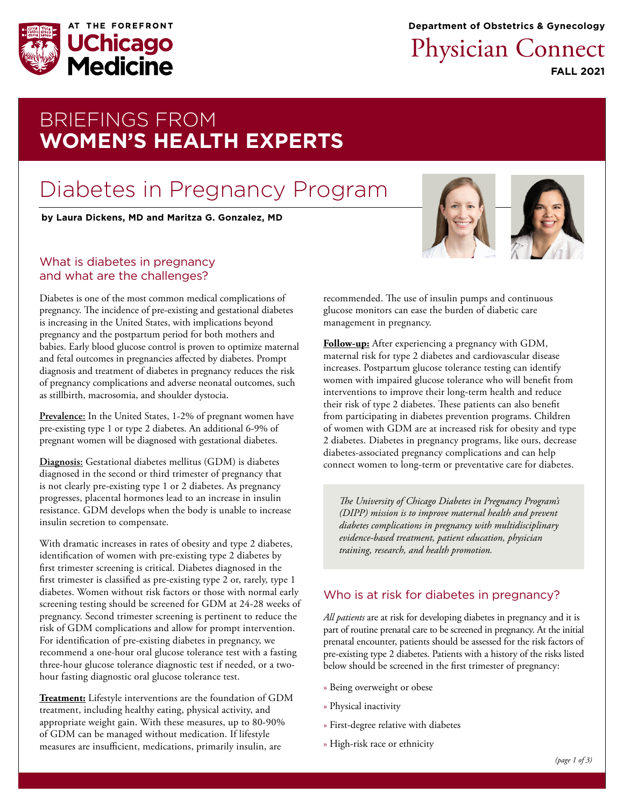

**Department of Obstetrics & Gynecology**

# Physician Connect

**FALL 2021**

## BRIEFINGS FROM **WOMEN'S HEALTH EXPERTS**

# Diabetes in Pregnancy Program

**b[y Laura Dickens, MD](https://www.uchicagomedicine.org/find-a-physician/physician/laura-dickens) and [Maritza G. Gonzalez, MD](https://www.uchicagomedicine.org/find-a-physician/physician/maritza-gonzalez)**

#### What is diabetes in pregnancy and what are the challenges?

Diabetes is one of the most common medical complications of pregnancy. The incidence of pre-existing and gestational diabetes is increasing in the United States, with implications beyond pregnancy and the postpartum period for both mothers and babies. Early blood glucose control is proven to optimize maternal and fetal outcomes in pregnancies affected by diabetes. Prompt diagnosis and treatment of diabetes in pregnancy reduces the risk of pregnancy complications and adverse neonatal outcomes, such as stillbirth, macrosomia, and shoulder dystocia.

**Prevalence:** In the United States, 1-2% of pregnant women have pre-existing type 1 or type 2 diabetes. An additional 6-9% of pregnant women will be diagnosed with gestational diabetes.

**Diagnosis:** Gestational diabetes mellitus (GDM) is diabetes diagnosed in the second or third trimester of pregnancy that is not clearly pre-existing type 1 or 2 diabetes. As pregnancy progresses, placental hormones lead to an increase in insulin resistance. GDM develops when the body is unable to increase insulin secretion to compensate.

With dramatic increases in rates of obesity and type 2 diabetes, identification of women with pre-existing type 2 diabetes by first trimester screening is critical. Diabetes diagnosed in the first trimester is classified as pre-existing type 2 or, rarely, type 1 diabetes. Women without risk factors or those with normal early screening testing should be screened for GDM at 24-28 weeks of pregnancy. Second trimester screening is pertinent to reduce the risk of GDM complications and allow for prompt intervention. For identification of pre-existing diabetes in pregnancy, we recommend a one-hour oral glucose tolerance test with a fasting three-hour glucose tolerance diagnostic test if needed, or a twohour fasting diagnostic oral glucose tolerance test.

**Treatment:** Lifestyle interventions are the foundation of GDM treatment, including healthy eating, physical activity, and appropriate weight gain. With these measures, up to 80-90% of GDM can be managed without medication. If lifestyle measures are insufficient, medications, primarily insulin, are





recommended. The use of insulin pumps and continuous glucose monitors can ease the burden of diabetic care management in pregnancy.

**Follow-up:** After experiencing a pregnancy with GDM, maternal risk for type 2 diabetes and cardiovascular disease increases. Postpartum glucose tolerance testing can identify women with impaired glucose tolerance who will benefit from interventions to improve their long-term health and reduce their risk of type 2 diabetes. These patients can also benefit from participating in diabetes prevention programs. Children of women with GDM are at increased risk for obesity and type 2 diabetes. Diabetes in pregnancy programs, like ours, decrease diabetes-associated pregnancy complications and can help connect women to long-term or preventative care for diabetes.

*The University of Chicago Diabetes in Pregnancy Program's (DIPP) mission is to improve maternal health and prevent diabetes complications in pregnancy with multidisciplinary evidence-based treatment, patient education, physician training, research, and health promotion.*

### Who is at risk for diabetes in pregnancy?

*All patients* are at risk for developing diabetes in pregnancy and it is part of routine prenatal care to be screened in pregnancy. At the initial prenatal encounter, patients should be assessed for the risk factors of pre-existing type 2 diabetes. Patients with a history of the risks listed below should be screened in the first trimester of pregnancy:

- » Being overweight or obese
- » Physical inactivity
- » First-degree relative with diabetes
- » High-risk race or ethnicity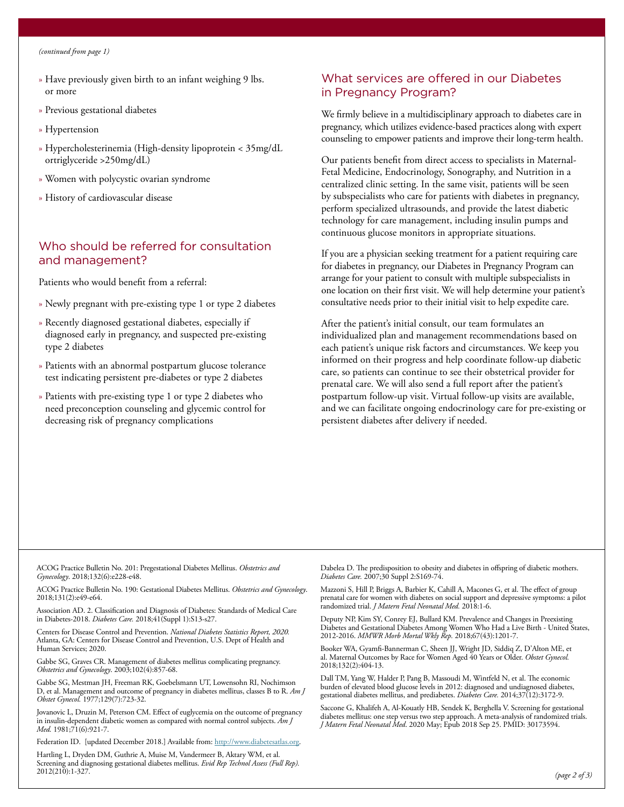- » Have previously given birth to an infant weighing 9 lbs. or more
- » Previous gestational diabetes
- » Hypertension
- » Hypercholesterinemia (High-density lipoprotein < 35mg/dL ortriglyceride >250mg/dL)
- » Women with polycystic ovarian syndrome
- » History of cardiovascular disease

#### Who should be referred for consultation and management?

Patients who would benefit from a referral:

- » Newly pregnant with pre-existing type 1 or type 2 diabetes
- » Recently diagnosed gestational diabetes, especially if diagnosed early in pregnancy, and suspected pre-existing type 2 diabetes
- » Patients with an abnormal postpartum glucose tolerance test indicating persistent pre-diabetes or type 2 diabetes
- » Patients with pre-existing type 1 or type 2 diabetes who need preconception counseling and glycemic control for decreasing risk of pregnancy complications

#### What services are offered in our Diabetes in Pregnancy Program?

We firmly believe in a multidisciplinary approach to diabetes care in pregnancy, which utilizes evidence-based practices along with expert counseling to empower patients and improve their long-term health.

Our patients benefit from direct access to specialists in Maternal-Fetal Medicine, Endocrinology, Sonography, and Nutrition in a centralized clinic setting. In the same visit, patients will be seen by subspecialists who care for patients with diabetes in pregnancy, perform specialized ultrasounds, and provide the latest diabetic technology for care management, including insulin pumps and continuous glucose monitors in appropriate situations.

If you are a physician seeking treatment for a patient requiring care for diabetes in pregnancy, our Diabetes in Pregnancy Program can arrange for your patient to consult with multiple subspecialists in one location on their first visit. We will help determine your patient's consultative needs prior to their initial visit to help expedite care.

After the patient's initial consult, our team formulates an individualized plan and management recommendations based on each patient's unique risk factors and circumstances. We keep you informed on their progress and help coordinate follow-up diabetic care, so patients can continue to see their obstetrical provider for prenatal care. We will also send a full report after the patient's postpartum follow-up visit. Virtual follow-up visits are available, and we can facilitate ongoing endocrinology care for pre-existing or persistent diabetes after delivery if needed.

ACOG Practice Bulletin No. 201: Pregestational Diabetes Mellitus. *Obstetrics and Gynecology*. 2018;132(6):e228-e48.

ACOG Practice Bulletin No. 190: Gestational Diabetes Mellitus. *Obstetrics and Gynecology*. 2018;131(2):e49-e64.

Association AD. 2. Classification and Diagnosis of Diabetes: Standards of Medical Care in Diabetes-2018. *Diabetes Care.* 2018;41(Suppl 1):S13-s27.

Centers for Disease Control and Prevention. *National Diabetes Statistics Report, 2020.* Atlanta, GA: Centers for Disease Control and Prevention, U.S. Dept of Health and Human Services; 2020.

Gabbe SG, Graves CR. Management of diabetes mellitus complicating pregnancy. *Obstetrics and Gynecology*. 2003;102(4):857-68.

Gabbe SG, Mestman JH, Freeman RK, Goebelsmann UT, Lowensohn RI, Nochimson D, et al. Management and outcome of pregnancy in diabetes mellitus, classes B to R. *Am J Obstet Gynecol.* 1977;129(7):723-32.

Jovanovic L, Druzin M, Peterson CM. Effect of euglycemia on the outcome of pregnancy in insulin-dependent diabetic women as compared with normal control subjects. *Am J Med.* 1981;71(6):921-7.

Federation ID. [updated December 2018.] Available from: [http://www.diabetesatlas.org.](http://www.diabetesatlas.org)

Hartling L, Dryden DM, Guthrie A, Muise M, Vandermeer B, Aktary WM, et al. Screening and diagnosing gestational diabetes mellitus. *Evid Rep Technol Assess (Full Rep).*  2012(210):1-327.

Dabelea D. The predisposition to obesity and diabetes in offspring of diabetic mothers. *Diabetes Care.* 2007;30 Suppl 2:S169-74.

Mazzoni S, Hill P, Briggs A, Barbier K, Cahill A, Macones G, et al. The effect of group prenatal care for women with diabetes on social support and depressive symptoms: a pilot randomized trial. *J Matern Fetal Neonatal Med.* 2018:1-6.

Deputy NP, Kim SY, Conrey EJ, Bullard KM. Prevalence and Changes in Preexisting Diabetes and Gestational Diabetes Among Women Who Had a Live Birth - United States, 2012-2016. *MMWR Morb Mortal Wkly Rep.* 2018;67(43):1201-7.

Booker WA, Gyamfi-Bannerman C, Sheen JJ, Wright JD, Siddiq Z, D'Alton ME, et al. Maternal Outcomes by Race for Women Aged 40 Years or Older. *Obstet Gynecol.*  2018;132(2):404-13.

Dall TM, Yang W, Halder P, Pang B, Massoudi M, Wintfeld N, et al. The economic burden of elevated blood glucose levels in 2012: diagnosed and undiagnosed diabetes, gestational diabetes mellitus, and prediabetes. *Diabetes Care.* 2014;37(12):3172-9.

Saccone G, Khalifeh A, Al-Kouatly HB, Sendek K, Berghella V. Screening for gestational diabetes mellitus: one step versus two step approach. A meta-analysis of randomized trials. *J Matern Fetal Neonatal Med*. 2020 May; Epub 2018 Sep 25. PMID: 30173594.